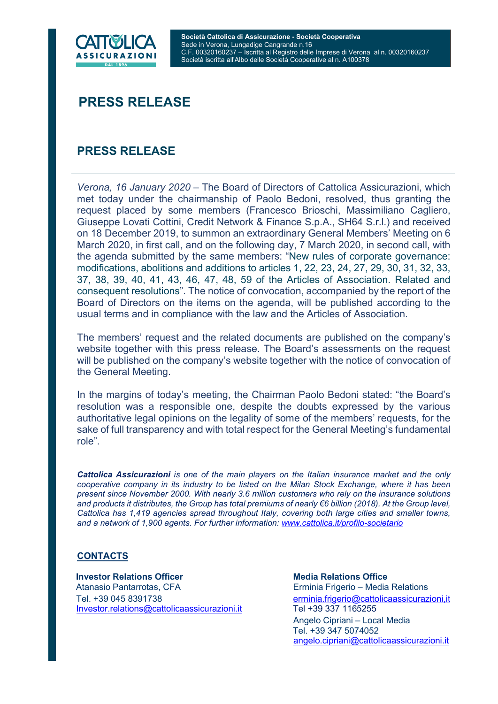

## PRESS RELEASE

## PRESS RELEASE

Verona, 16 January 2020 – The Board of Directors of Cattolica Assicurazioni, which met today under the chairmanship of Paolo Bedoni, resolved, thus granting the request placed by some members (Francesco Brioschi, Massimiliano Cagliero, Giuseppe Lovati Cottini, Credit Network & Finance S.p.A., SH64 S.r.l.) and received on 18 December 2019, to summon an extraordinary General Members' Meeting on 6 March 2020, in first call, and on the following day, 7 March 2020, in second call, with the agenda submitted by the same members: "New rules of corporate governance: modifications, abolitions and additions to articles 1, 22, 23, 24, 27, 29, 30, 31, 32, 33, 37, 38, 39, 40, 41, 43, 46, 47, 48, 59 of the Articles of Association. Related and consequent resolutions". The notice of convocation, accompanied by the report of the Board of Directors on the items on the agenda, will be published according to the usual terms and in compliance with the law and the Articles of Association.

The members' request and the related documents are published on the company's website together with this press release. The Board's assessments on the request will be published on the company's website together with the notice of convocation of the General Meeting.

In the margins of today's meeting, the Chairman Paolo Bedoni stated: "the Board's resolution was a responsible one, despite the doubts expressed by the various authoritative legal opinions on the legality of some of the members' requests, for the sake of full transparency and with total respect for the General Meeting's fundamental role".

Cattolica Assicurazioni is one of the main players on the Italian insurance market and the only cooperative company in its industry to be listed on the Milan Stock Exchange, where it has been present since November 2000. With nearly 3.6 million customers who rely on the insurance solutions and products it distributes, the Group has total premiums of nearly €6 billion (2018). At the Group level, Cattolica has 1,419 agencies spread throughout Italy, covering both large cities and smaller towns, and a network of 1,900 agents. For further information: www.cattolica.it/profilo-societario

## **CONTACTS**

**Investor Relations Officer Media Relations Office**  Atanasio Pantarrotas, CFA Erminia Frigerio – Media Relations Tel. +39 045 8391738 erminia.frigerio@cattolicaassicurazioni,it Investor.relations@cattolicaassicurazioni.it Tel +39 337 1165255

 Angelo Cipriani – Local Media Tel. +39 347 5074052 angelo.cipriani@cattolicaassicurazioni.it